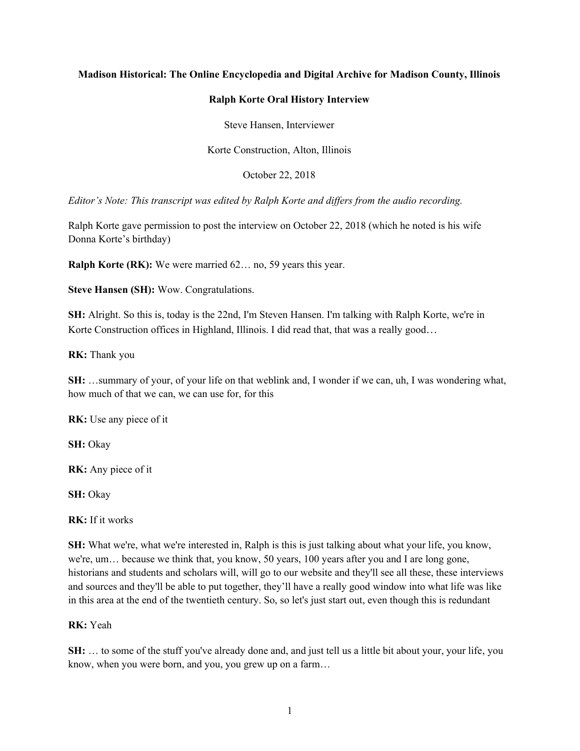## **Madison Historical: The Online Encyclopedia and Digital Archive for Madison County, Illinois**

#### **Ralph Korte Oral History Interview**

Steve Hansen, Interviewer

Korte Construction, Alton, Illinois

October 22, 2018

*Editor's Note: This transcript was edited by Ralph Korte and differs from the audio recording.*

Ralph Korte gave permission to post the interview on October 22, 2018 (which he noted is his wife Donna Korte's birthday)

**Ralph Korte (RK):** We were married 62… no, 59 years this year.

**Steve Hansen (SH):** Wow. Congratulations.

**SH:** Alright. So this is, today is the 22nd, I'm Steven Hansen. I'm talking with Ralph Korte, we're in Korte Construction offices in Highland, Illinois. I did read that, that was a really good...

**RK:** Thank you

**SH:** …summary of your, of your life on that weblink and, I wonder if we can, uh, I was wondering what, how much of that we can, we can use for, for this

**RK:** Use any piece of it

**SH:** Okay

**RK:** Any piece of it

**SH:** Okay

**RK:** If it works

**SH:** What we're, what we're interested in, Ralph is this is just talking about what your life, you know, we're, um… because we think that, you know, 50 years, 100 years after you and I are long gone, historians and students and scholars will, will go to our website and they'll see all these, these interviews and sources and they'll be able to put together, they'll have a really good window into what life was like in this area at the end of the twentieth century. So, so let's just start out, even though this is redundant

#### **RK:** Yeah

**SH:** … to some of the stuff you've already done and, and just tell us a little bit about your, your life, you know, when you were born, and you, you grew up on a farm…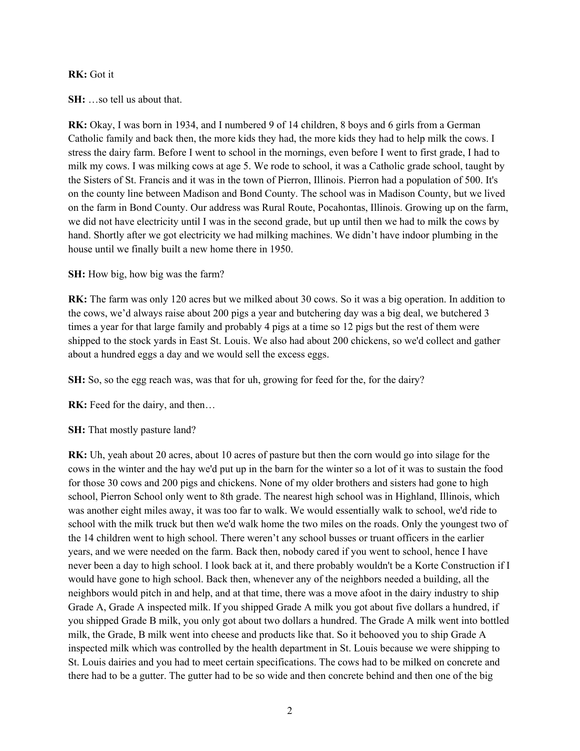#### **RK:** Got it

**SH:** …so tell us about that.

RK: Okay, I was born in 1934, and I numbered 9 of 14 children, 8 boys and 6 girls from a German Catholic family and back then, the more kids they had, the more kids they had to help milk the cows. I stress the dairy farm. Before I went to school in the mornings, even before I went to first grade, I had to milk my cows. I was milking cows at age 5. We rode to school, it was a Catholic grade school, taught by the Sisters of St. Francis and it was in the town of Pierron, Illinois. Pierron had a population of 500. It's on the county line between Madison and Bond County. The school was in Madison County, but we lived on the farm in Bond County. Our address was Rural Route, Pocahontas, Illinois. Growing up on the farm, we did not have electricity until I was in the second grade, but up until then we had to milk the cows by hand. Shortly after we got electricity we had milking machines. We didn't have indoor plumbing in the house until we finally built a new home there in 1950.

**SH:** How big, how big was the farm?

**RK:** The farm was only 120 acres but we milked about 30 cows. So it was a big operation. In addition to the cows, we'd always raise about 200 pigs a year and butchering day was a big deal, we butchered 3 times a year for that large family and probably 4 pigs at a time so 12 pigs but the rest of them were shipped to the stock yards in East St. Louis. We also had about 200 chickens, so we'd collect and gather about a hundred eggs a day and we would sell the excess eggs.

**SH:** So, so the egg reach was, was that for uh, growing for feed for the, for the dairy?

**RK:** Feed for the dairy, and then…

**SH:** That mostly pasture land?

**RK:** Uh, yeah about 20 acres, about 10 acres of pasture but then the corn would go into silage for the cows in the winter and the hay we'd put up in the barn for the winter so a lot of it was to sustain the food for those 30 cows and 200 pigs and chickens. None of my older brothers and sisters had gone to high school, Pierron School only went to 8th grade. The nearest high school was in Highland, Illinois, which was another eight miles away, it was too far to walk. We would essentially walk to school, we'd ride to school with the milk truck but then we'd walk home the two miles on the roads. Only the youngest two of the 14 children went to high school. There weren't any school busses or truant officers in the earlier years, and we were needed on the farm. Back then, nobody cared if you went to school, hence I have never been a day to high school. I look back at it, and there probably wouldn't be a Korte Construction if I would have gone to high school. Back then, whenever any of the neighbors needed a building, all the neighbors would pitch in and help, and at that time, there was a move afoot in the dairy industry to ship Grade A, Grade A inspected milk. If you shipped Grade A milk you got about five dollars a hundred, if you shipped Grade B milk, you only got about two dollars a hundred. The Grade A milk went into bottled milk, the Grade, B milk went into cheese and products like that. So it behooved you to ship Grade A inspected milk which was controlled by the health department in St. Louis because we were shipping to St. Louis dairies and you had to meet certain specifications. The cows had to be milked on concrete and there had to be a gutter. The gutter had to be so wide and then concrete behind and then one of the big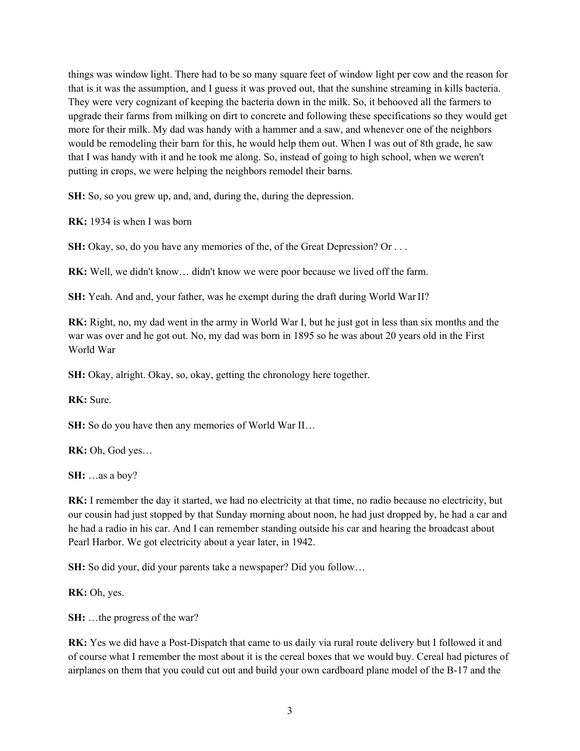things was window light. There had to be so many square feet of window light per cow and the reason for that is it was the assumption, and I guess it was proved out, that the sunshine streaming in kills bacteria. They were very cognizant of keeping the bacteria down in the milk. So, it behooved all the farmers to upgrade their farms from milking on dirt to concrete and following these specifications so they would get more for their milk. My dad was handy with a hammer and a saw, and whenever one of the neighbors would be remodeling their barn for this, he would help them out. When I was out of 8th grade, he saw that I was handy with it and he took me along. So, instead of going to high school, when we weren't putting in crops, we were helping the neighbors remodel their barns.

**SH:** So, so you grew up, and, and, during the, during the depression.

**RK:** 1934 is when I was born

**SH:** Okay, so, do you have any memories of the, of the Great Depression? Or . . .

**RK:** Well, we didn't know… didn't know we were poor because we lived off the farm.

**SH:** Yeah. And and, your father, was he exempt during the draft during World WarII?

**RK:** Right, no, my dad went in the army in World War I, but he just got in less than six months and the war was over and he got out. No, my dad was born in 1895 so he was about 20 years old in the First World War

SH: Okay, alright. Okay, so, okay, getting the chronology here together.

**RK:** Sure.

**SH:** So do you have then any memories of World War II...

**RK:** Oh, God yes…

**SH:** …as a boy?

**RK:** I remember the day it started, we had no electricity at that time, no radio because no electricity, but our cousin had just stopped by that Sunday morning about noon, he had just dropped by, he had a car and he had a radio in his car. And I can remember standing outside his car and hearing the broadcast about Pearl Harbor. We got electricity about a year later, in 1942.

**SH:** So did your, did your parents take a newspaper? Did you follow…

**RK:** Oh, yes.

**SH:** …the progress of the war?

**RK:** Yes we did have a Post-Dispatch that came to us daily via rural route delivery but I followed it and of course what I remember the most about it is the cereal boxes that we would buy. Cereal had pictures of airplanes on them that you could cut out and build your own cardboard plane model of the B-17 and the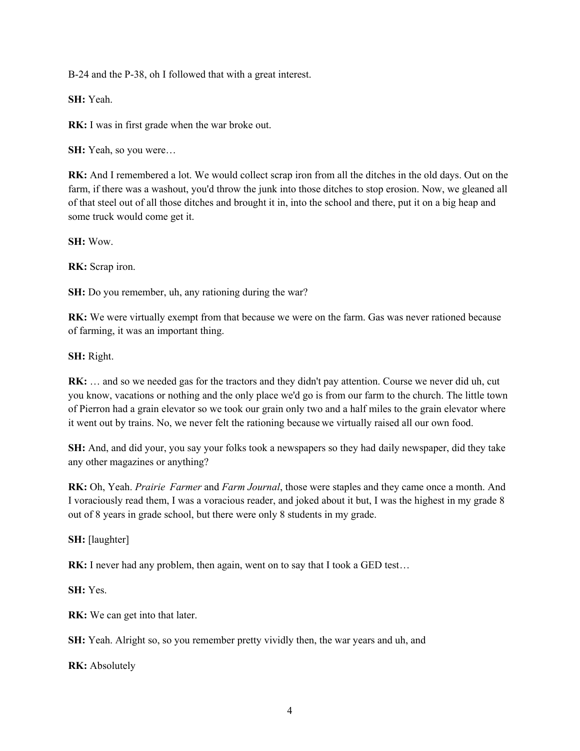B-24 and the P-38, oh I followed that with a great interest.

**SH:** Yeah.

**RK:** I was in first grade when the war broke out.

**SH:** Yeah, so you were…

**RK:** And I remembered a lot. We would collect scrap iron from all the ditches in the old days. Out on the farm, if there was a washout, you'd throw the junk into those ditches to stop erosion. Now, we gleaned all of that steel out of all those ditches and brought it in, into the school and there, put it on a big heap and some truck would come get it. 

**SH:** Wow.

**RK:** Scrap iron.

**SH:** Do you remember, uh, any rationing during the war?

**RK:** We were virtually exempt from that because we were on the farm. Gas was never rationed because of farming, it was an important thing.

**SH:** Right.

**RK:** … and so we needed gas for the tractors and they didn't pay attention. Course we never did uh, cut you know, vacations or nothing and the only place we'd go is from our farm to the church. The little town of Pierron had a grain elevator so we took our grain only two and a half miles to the grain elevator where it went out by trains. No, we never felt the rationing because we virtually raised all our own food.

**SH:** And, and did your, you say your folks took a newspapers so they had daily newspaper, did they take any other magazines or anything?

**RK:** Oh, Yeah. *Prairie  Farmer* and *Farm Journal*, those were staples and they came once a month. And I voraciously read them, I was a voracious reader, and joked about it but, I was the highest in my grade 8 out of 8 years in grade school, but there were only 8 students in my grade. 

**SH:** [laughter]

**RK:** I never had any problem, then again, went on to say that I took a GED test...

**SH:** Yes.

**RK:** We can get into that later.

**SH:** Yeah. Alright so, so you remember pretty vividly then, the war years and uh, and

**RK:** Absolutely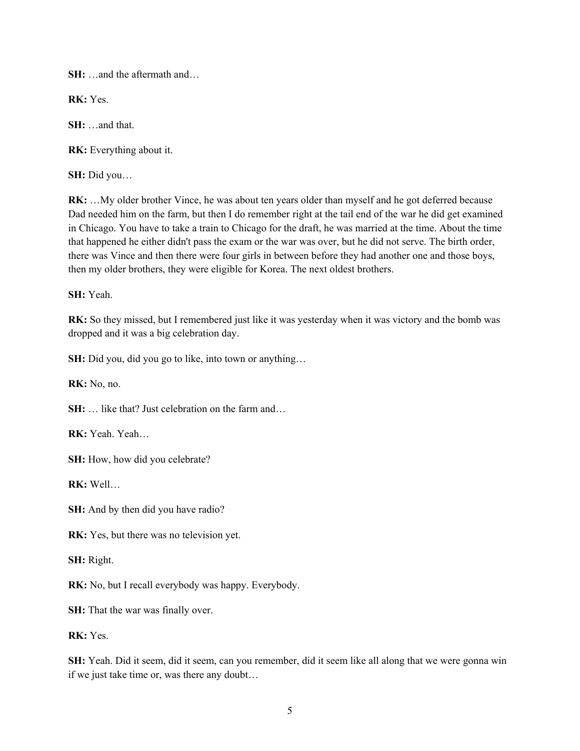**SH:** …and the aftermath and…

**RK:** Yes.

**SH:** …and that.

**RK:** Everything about it.

**SH:** Did you…

**RK:** …My older brother Vince, he was about ten years older than myself and he got deferred because Dad needed him on the farm, but then I do remember right at the tail end of the war he did get examined in Chicago. You have to take a train to Chicago for the draft, he was married at the time. About the time that happened he either didn't pass the exam or the war was over, but he did not serve. The birth order, there was Vince and then there were four girls in between before they had another one and those boys, then my older brothers, they were eligible for Korea. The next oldest brothers.

**SH:** Yeah.

**RK:** So they missed, but I remembered just like it was yesterday when it was victory and the bomb was dropped and it was a big celebration day.

**SH:** Did you, did you go to like, into town or anything…

**RK:** No, no.

**SH:** … like that? Just celebration on the farm and…

**RK:** Yeah. Yeah…

**SH:** How, how did you celebrate?

**RK:** Well…

**SH:** And by then did you have radio?

**RK:** Yes, but there was no television yet.

**SH:** Right.

**RK:** No, but I recall everybody was happy. Everybody.

**SH:** That the war was finally over.

**RK:** Yes.

**SH:** Yeah. Did it seem, did it seem, can you remember, did it seem like all along that we were gonna win if we just take time or, was there any doubt…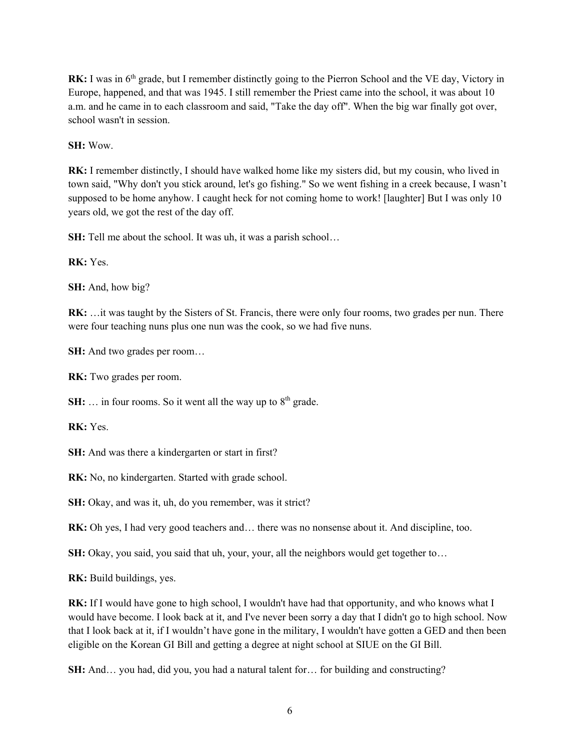**RK:** I was in 6<sup>th</sup> grade, but I remember distinctly going to the Pierron School and the VE day, Victory in Europe, happened, and that was 1945. I still remember the Priest came into the school, it was about 10 a.m. and he came in to each classroom and said, "Take the day off". When the big war finally got over, school wasn't in session.

**SH:** Wow.

**RK:** I remember distinctly, I should have walked home like my sisters did, but my cousin, who lived in town said, "Why don't you stick around, let's go fishing." So we went fishing in a creek because, I wasn't supposed to be home anyhow. I caught heck for not coming home to work! [laughter] But I was only 10 years old, we got the rest of the day off.

**SH:** Tell me about the school. It was uh, it was a parish school...

**RK:** Yes.

**SH:** And, how big?

**RK:** …it was taught by the Sisters of St. Francis, there were only four rooms, two grades per nun. There were four teaching nuns plus one nun was the cook, so we had five nuns.

**SH:** And two grades per room…

**RK:** Two grades per room.

**SH:** ... in four rooms. So it went all the way up to  $8<sup>th</sup>$  grade.

**RK:** Yes.

**SH:** And was there a kindergarten or start in first?

**RK:** No, no kindergarten. Started with grade school.

**SH:** Okay, and was it, uh, do you remember, was it strict?

**RK:** Oh yes, I had very good teachers and… there was no nonsense about it. And discipline, too.

**SH:** Okay, you said, you said that uh, your, your, all the neighbors would get together to...

**RK:** Build buildings, yes.

**RK:** If I would have gone to high school, I wouldn't have had that opportunity, and who knows what I would have become. I look back at it, and I've never been sorry a day that I didn't go to high school. Now that I look back at it, if I wouldn't have gone in the military, I wouldn't have gotten a GED and then been eligible on the Korean GI Bill and getting a degree at night school at SIUE on the GI Bill.

**SH:** And… you had, did you, you had a natural talent for… for building and constructing?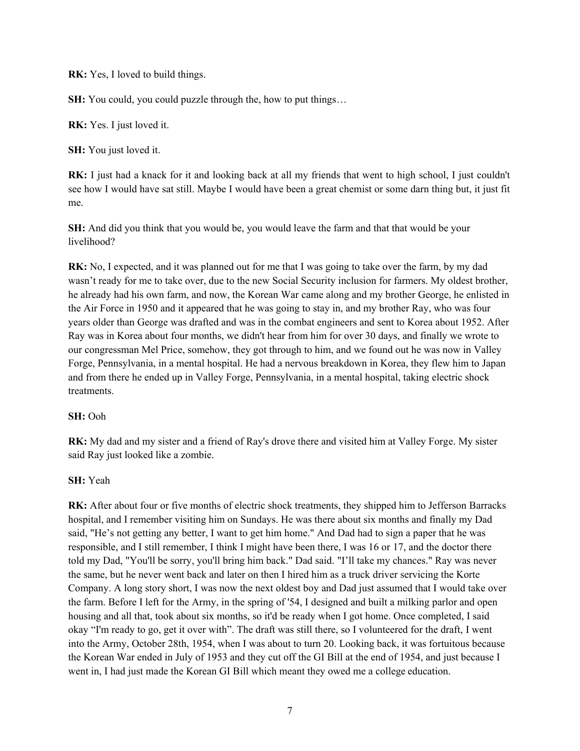**RK:** Yes, I loved to build things.

**SH:** You could, you could puzzle through the, how to put things...

**RK:** Yes. I just loved it.

**SH:** You just loved it.

**RK:** I just had a knack for it and looking back at all my friends that went to high school, I just couldn't see how I would have sat still. Maybe I would have been a great chemist or some darn thing but, it just fit me.

**SH:** And did you think that you would be, you would leave the farm and that that would be your livelihood?

**RK:** No, I expected, and it was planned out for me that I was going to take over the farm, by my dad wasn't ready for me to take over, due to the new Social Security inclusion for farmers. My oldest brother, he already had his own farm, and now, the Korean War came along and my brother George, he enlisted in the Air Force in 1950 and it appeared that he was going to stay in, and my brother Ray, who was four years older than George was drafted and was in the combat engineers and sent to Korea about 1952. After Ray was in Korea about four months, we didn't hear from him for over 30 days, and finally we wrote to our congressman Mel Price, somehow, they got through to him, and we found out he was now in Valley Forge, Pennsylvania, in a mental hospital. He had a nervous breakdown in Korea, they flew him to Japan and from there he ended up in Valley Forge, Pennsylvania, in a mental hospital, taking electric shock treatments.

# **SH:** Ooh

**RK:** My dad and my sister and a friend of Ray's drove there and visited him at Valley Forge. My sister said Ray just looked like a zombie.

## **SH:** Yeah

**RK:** After about four or five months of electric shock treatments, they shipped him to Jefferson Barracks hospital, and I remember visiting him on Sundays. He was there about six months and finally my Dad said, "He's not getting any better, I want to get him home." And Dad had to sign a paper that he was responsible, and I still remember, I think I might have been there, I was 16 or 17, and the doctor there told my Dad, "You'll be sorry, you'll bring him back." Dad said. "I'll take my chances." Ray was never the same, but he never went back and later on then I hired him as a truck driver servicing the Korte Company. A long story short, I was now the next oldest boy and Dad just assumed that I would take over the farm. Before I left for the Army, in the spring of '54, I designed and built a milking parlor and open housing and all that, took about six months, so it'd be ready when I got home. Once completed, I said okay "I'm ready to go, get it over with". The draft was still there, so I volunteered for the draft, I went into the Army, October 28th, 1954, when I was about to turn 20. Looking back, it was fortuitous because the Korean War ended in July of 1953 and they cut off the GI Bill at the end of 1954, and just because I went in, I had just made the Korean GI Bill which meant they owed me a college education.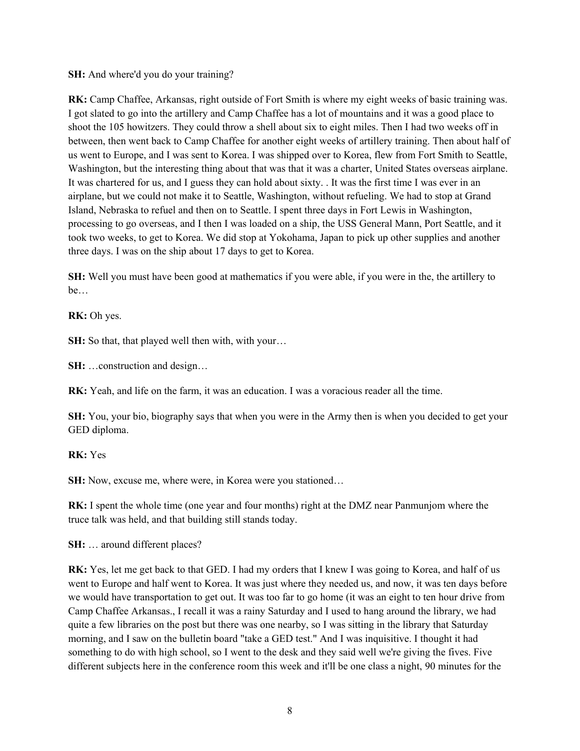**SH:** And where'd you do your training?

**RK:** Camp Chaffee, Arkansas, right outside of Fort Smith is where my eight weeks of basic training was. I got slated to go into the artillery and Camp Chaffee has a lot of mountains and it was a good place to shoot the 105 howitzers. They could throw a shell about six to eight miles. Then I had two weeks off in between, then went back to Camp Chaffee for another eight weeks of artillery training. Then about half of us went to Europe, and I was sent to Korea. I was shipped over to Korea, flew from Fort Smith to Seattle, Washington, but the interesting thing about that was that it was a charter, United States overseas airplane. It was chartered for us, and I guess they can hold about sixty. . It was the first time I was ever in an airplane, but we could not make it to Seattle, Washington, without refueling. We had to stop at Grand Island, Nebraska to refuel and then on to Seattle. I spent three days in Fort Lewis in Washington, processing to go overseas, and I then I was loaded on a ship, the USS General Mann, Port Seattle, and it took two weeks, to get to Korea. We did stop at Yokohama, Japan to pick up other supplies and another three days. I was on the ship about 17 days to get to Korea.

**SH:** Well you must have been good at mathematics if you were able, if you were in the, the artillery to be…

**RK:** Oh yes.

**SH:** So that, that played well then with, with your...

**SH:** …construction and design…

**RK:** Yeah, and life on the farm, it was an education. I was a voracious reader all the time.

**SH:** You, your bio, biography says that when you were in the Army then is when you decided to get your GED diploma.

**RK:** Yes

**SH:** Now, excuse me, where were, in Korea were you stationed…

**RK:** I spent the whole time (one year and four months) right at the DMZ near Panmunjom where the truce talk was held, and that building still stands today.

**SH:** … around different places?

**RK:** Yes, let me get back to that GED. I had my orders that I knew I was going to Korea, and half of us went to Europe and half went to Korea. It was just where they needed us, and now, it was ten days before we would have transportation to get out. It was too far to go home (it was an eight to ten hour drive from Camp Chaffee Arkansas., I recall it was a rainy Saturday and I used to hang around the library, we had quite a few libraries on the post but there was one nearby, so I was sitting in the library that Saturday morning, and I saw on the bulletin board "take a GED test." And I was inquisitive. I thought it had something to do with high school, so I went to the desk and they said well we're giving the fives. Five different subjects here in the conference room this week and it'll be one class a night, 90 minutes for the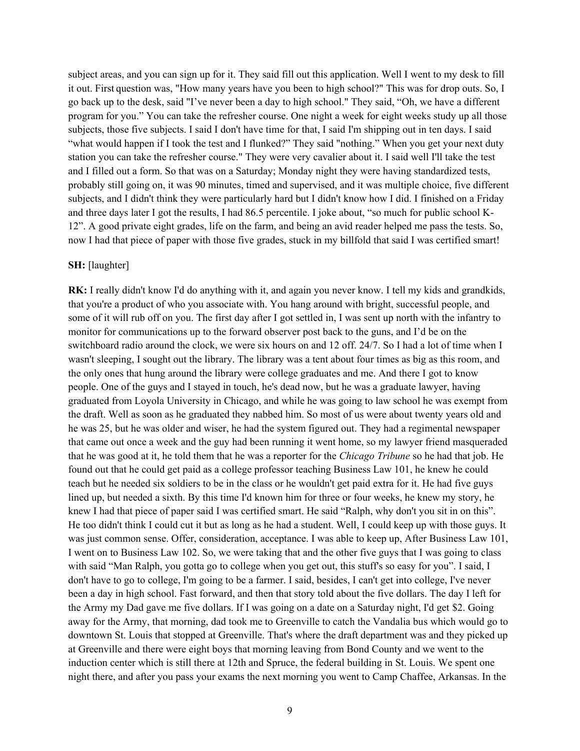subject areas, and you can sign up for it. They said fill out this application. Well I went to my desk to fill it out. First question was, "How many years have you been to high school?" This was for drop outs. So, I go back up to the desk, said "I've never been a day to high school." They said, "Oh, we have a different program for you." You can take the refresher course. One night a week for eight weeks study up all those subjects, those five subjects. I said I don't have time for that, I said I'm shipping out in ten days. I said "what would happen if I took the test and I flunked?" They said "nothing." When you get your next duty station you can take the refresher course." They were very cavalier about it. I said well I'll take the test and I filled out a form. So that was on a Saturday; Monday night they were having standardized tests, probably still going on, it was 90 minutes, timed and supervised, and it was multiple choice, five different subjects, and I didn't think they were particularly hard but I didn't know how I did. I finished on a Friday and three days later I got the results, I had 86.5 percentile. I joke about, "so much for public school K-12". A good private eight grades, life on the farm, and being an avid reader helped me pass the tests. So, now I had that piece of paper with those five grades, stuck in my billfold that said I was certified smart!

#### **SH:** [laughter]

**RK:** I really didn't know I'd do anything with it, and again you never know. I tell my kids and grandkids, that you're a product of who you associate with. You hang around with bright, successful people, and some of it will rub off on you. The first day after I got settled in, I was sent up north with the infantry to monitor for communications up to the forward observer post back to the guns, and I'd be on the switchboard radio around the clock, we were six hours on and 12 off. 24/7. So I had a lot of time when I wasn't sleeping, I sought out the library. The library was a tent about four times as big as this room, and the only ones that hung around the library were college graduates and me. And there I got to know people. One of the guys and I stayed in touch, he's dead now, but he was a graduate lawyer, having graduated from Loyola University in Chicago, and while he was going to law school he was exempt from the draft. Well as soon as he graduated they nabbed him. So most of us were about twenty years old and he was 25, but he was older and wiser, he had the system figured out. They had a regimental newspaper that came out once a week and the guy had been running it went home, so my lawyer friend masqueraded that he was good at it, he told them that he was a reporter for the *Chicago Tribune* so he had that job. He found out that he could get paid as a college professor teaching Business Law 101, he knew he could teach but he needed six soldiers to be in the class or he wouldn't get paid extra for it. He had five guys lined up, but needed a sixth. By this time I'd known him for three or four weeks, he knew my story, he knew I had that piece of paper said I was certified smart. He said "Ralph, why don't you sit in on this". He too didn't think I could cut it but as long as he had a student. Well, I could keep up with those guys. It was just common sense. Offer, consideration, acceptance. I was able to keep up, After Business Law 101, I went on to Business Law 102. So, we were taking that and the other five guys that I was going to class with said "Man Ralph, you gotta go to college when you get out, this stuff's so easy for you". I said, I don't have to go to college, I'm going to be a farmer. I said, besides, I can't get into college, I've never been a day in high school. Fast forward, and then that story told about the five dollars. The day I left for the Army my Dad gave me five dollars. If I was going on a date on a Saturday night, I'd get \$2. Going away for the Army, that morning, dad took me to Greenville to catch the Vandalia bus which would go to downtown St. Louis that stopped at Greenville. That's where the draft department was and they picked up at Greenville and there were eight boys that morning leaving from Bond County and we went to the induction center which is still there at 12th and Spruce, the federal building in St. Louis. We spent one night there, and after you pass your exams the next morning you went to Camp Chaffee, Arkansas. In the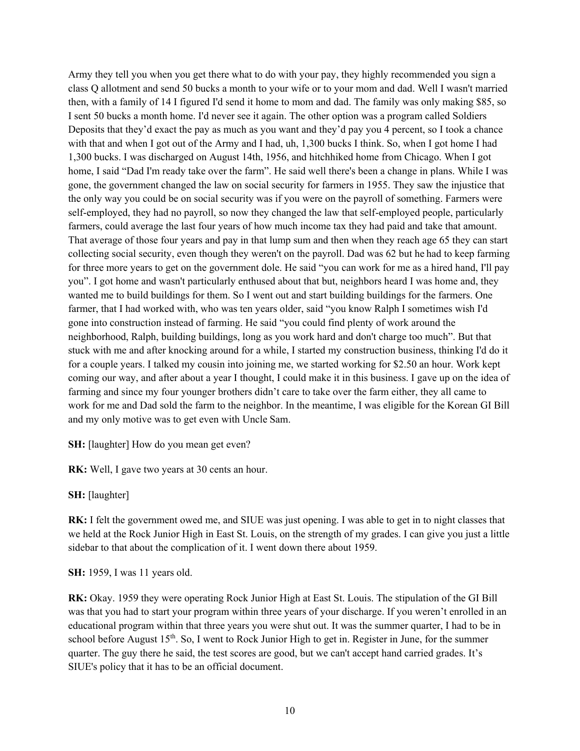Army they tell you when you get there what to do with your pay, they highly recommended you sign a class Q allotment and send 50 bucks a month to your wife or to your mom and dad. Well I wasn't married then, with a family of 14 I figured I'd send it home to mom and dad. The family was only making \$85, so I sent 50 bucks a month home. I'd never see it again. The other option was a program called Soldiers Deposits that they'd exact the pay as much as you want and they'd pay you 4 percent, so I took a chance with that and when I got out of the Army and I had, uh, 1,300 bucks I think. So, when I got home I had 1,300 bucks. I was discharged on August 14th, 1956, and hitchhiked home from Chicago. When I got home, I said "Dad I'm ready take over the farm". He said well there's been a change in plans. While I was gone, the government changed the law on social security for farmers in 1955. They saw the injustice that the only way you could be on social security was if you were on the payroll of something. Farmers were self-employed, they had no payroll, so now they changed the law that self-employed people, particularly farmers, could average the last four years of how much income tax they had paid and take that amount. That average of those four years and pay in that lump sum and then when they reach age 65 they can start collecting social security, even though they weren't on the payroll. Dad was 62 but he had to keep farming for three more years to get on the government dole. He said "you can work for me as a hired hand, I'll pay you". I got home and wasn't particularly enthused about that but, neighbors heard I was home and, they wanted me to build buildings for them. So I went out and start building buildings for the farmers. One farmer, that I had worked with, who was ten years older, said "you know Ralph I sometimes wish I'd gone into construction instead of farming. He said "you could find plenty of work around the neighborhood, Ralph, building buildings, long as you work hard and don't charge too much". But that stuck with me and after knocking around for a while, I started my construction business, thinking I'd do it for a couple years. I talked my cousin into joining me, we started working for \$2.50 an hour. Work kept coming our way, and after about a year I thought, I could make it in this business. I gave up on the idea of farming and since my four younger brothers didn't care to take over the farm either, they all came to work for me and Dad sold the farm to the neighbor. In the meantime, I was eligible for the Korean GI Bill and my only motive was to get even with Uncle Sam.

**SH:** [laughter] How do you mean get even?

RK: Well, I gave two years at 30 cents an hour.

**SH:** [laughter]

**RK:** I felt the government owed me, and SIUE was just opening. I was able to get in to night classes that we held at the Rock Junior High in East St. Louis, on the strength of my grades. I can give you just a little sidebar to that about the complication of it. I went down there about 1959.

**SH:** 1959, I was 11 years old.

**RK:** Okay. 1959 they were operating Rock Junior High at East St. Louis. The stipulation of the GI Bill was that you had to start your program within three years of your discharge. If you weren't enrolled in an educational program within that three years you were shut out. It was the summer quarter, I had to be in school before August  $15<sup>th</sup>$ . So, I went to Rock Junior High to get in. Register in June, for the summer quarter. The guy there he said, the test scores are good, but we can't accept hand carried grades. It's SIUE's policy that it has to be an official document.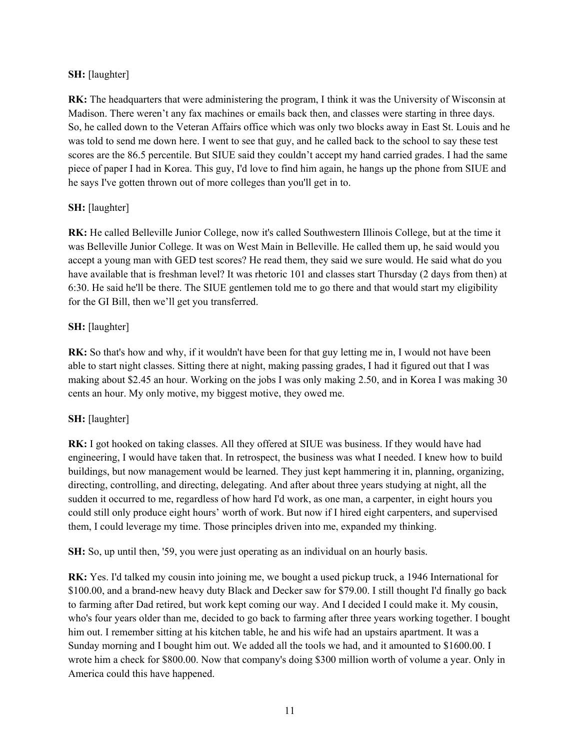## **SH:** [laughter]

**RK:** The headquarters that were administering the program, I think it was the University of Wisconsin at Madison. There weren't any fax machines or emails back then, and classes were starting in three days. So, he called down to the Veteran Affairs office which was only two blocks away in East St. Louis and he was told to send me down here. I went to see that guy, and he called back to the school to say these test scores are the 86.5 percentile. But SIUE said they couldn't accept my hand carried grades. I had the same piece of paper I had in Korea. This guy, I'd love to find him again, he hangs up the phone from SIUE and he says I've gotten thrown out of more colleges than you'll get in to.

# **SH:** [laughter]

**RK:** He called Belleville Junior College, now it's called Southwestern Illinois College, but at the time it was Belleville Junior College. It was on West Main in Belleville. He called them up, he said would you accept a young man with GED test scores? He read them, they said we sure would. He said what do you have available that is freshman level? It was rhetoric 101 and classes start Thursday (2 days from then) at 6:30. He said he'll be there. The SIUE gentlemen told me to go there and that would start my eligibility for the GI Bill, then we'll get you transferred.

## **SH:** [laughter]

**RK:** So that's how and why, if it wouldn't have been for that guy letting me in, I would not have been able to start night classes. Sitting there at night, making passing grades, I had it figured out that I was making about \$2.45 an hour. Working on the jobs I was only making 2.50, and in Korea I was making 30 cents an hour. My only motive, my biggest motive, they owed me.

## **SH:** [laughter]

**RK:** I got hooked on taking classes. All they offered at SIUE was business. If they would have had engineering, I would have taken that. In retrospect, the business was what I needed. I knew how to build buildings, but now management would be learned. They just kept hammering it in, planning, organizing, directing, controlling, and directing, delegating. And after about three years studying at night, all the sudden it occurred to me, regardless of how hard I'd work, as one man, a carpenter, in eight hours you could still only produce eight hours' worth of work. But now if I hired eight carpenters, and supervised them, I could leverage my time. Those principles driven into me, expanded my thinking.

**SH:** So, up until then, '59, you were just operating as an individual on an hourly basis.

**RK:** Yes. I'd talked my cousin into joining me, we bought a used pickup truck, a 1946 International for \$100.00, and a brand-new heavy duty Black and Decker saw for \$79.00. I still thought I'd finally go back to farming after Dad retired, but work kept coming our way. And I decided I could make it. My cousin, who's four years older than me, decided to go back to farming after three years working together. I bought him out. I remember sitting at his kitchen table, he and his wife had an upstairs apartment. It was a Sunday morning and I bought him out. We added all the tools we had, and it amounted to \$1600.00. I wrote him a check for \$800.00. Now that company's doing \$300 million worth of volume a year. Only in America could this have happened.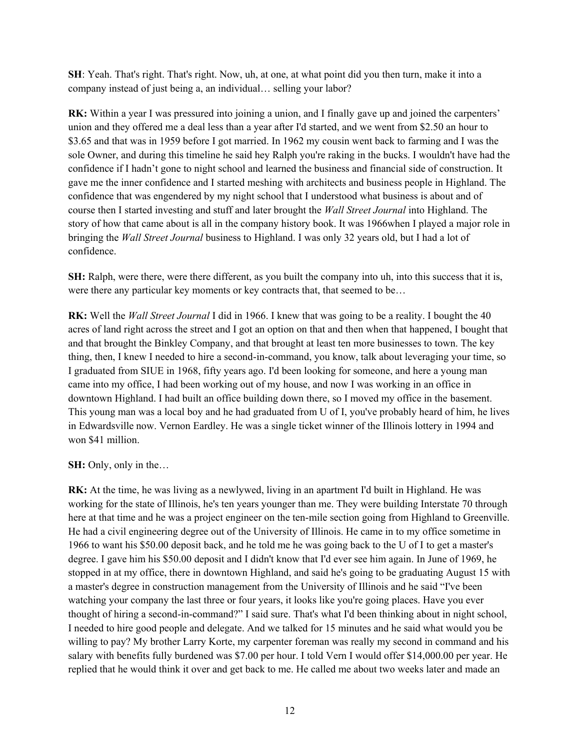**SH**: Yeah. That's right. That's right. Now, uh, at one, at what point did you then turn, make it into a company instead of just being a, an individual… selling your labor?

**RK:** Within a year I was pressured into joining a union, and I finally gave up and joined the carpenters' union and they offered me a deal less than a year after I'd started, and we went from \$2.50 an hour to \$3.65 and that was in 1959 before I got married. In 1962 my cousin went back to farming and I was the sole Owner, and during this timeline he said hey Ralph you're raking in the bucks. I wouldn't have had the confidence if I hadn't gone to night school and learned the business and financial side of construction. It gave me the inner confidence and I started meshing with architects and business people in Highland. The confidence that was engendered by my night school that I understood what business is about and of course then I started investing and stuff and later brought the *Wall Street Journal* into Highland. The story of how that came about is all in the company history book. It was 1966when I played a major role in bringing the *Wall Street Journal* business to Highland. I was only 32 years old, but I had a lot of confidence.

**SH:** Ralph, were there, were there different, as you built the company into uh, into this success that it is, were there any particular key moments or key contracts that, that seemed to be…

**RK:** Well the *Wall Street Journal* I did in 1966. I knew that was going to be a reality. I bought the 40 acres of land right across the street and I got an option on that and then when that happened, I bought that and that brought the Binkley Company, and that brought at least ten more businesses to town. The key thing, then, I knew I needed to hire a second-in-command, you know, talk about leveraging your time, so I graduated from SIUE in 1968, fifty years ago. I'd been looking for someone, and here a young man came into my office, I had been working out of my house, and now I was working in an office in downtown Highland. I had built an office building down there, so I moved my office in the basement. This young man was a local boy and he had graduated from U of I, you've probably heard of him, he lives in Edwardsville now. Vernon Eardley. He was a single ticket winner of the Illinois lottery in 1994 and won \$41 million.

## **SH:** Only, only in the…

**RK:** At the time, he was living as a newlywed, living in an apartment I'd built in Highland. He was working for the state of Illinois, he's ten years younger than me. They were building Interstate 70 through here at that time and he was a project engineer on the ten-mile section going from Highland to Greenville. He had a civil engineering degree out of the University of Illinois. He came in to my office sometime in 1966 to want his \$50.00 deposit back, and he told me he was going back to the U of I to get a master's degree. I gave him his \$50.00 deposit and I didn't know that I'd ever see him again. In June of 1969, he stopped in at my office, there in downtown Highland, and said he's going to be graduating August 15 with a master's degree in construction management from the University of Illinois and he said "I've been watching your company the last three or four years, it looks like you're going places. Have you ever thought of hiring a second-in-command?" I said sure. That's what I'd been thinking about in night school, I needed to hire good people and delegate. And we talked for 15 minutes and he said what would you be willing to pay? My brother Larry Korte, my carpenter foreman was really my second in command and his salary with benefits fully burdened was \$7.00 per hour. I told Vern I would offer \$14,000.00 per year. He replied that he would think it over and get back to me. He called me about two weeks later and made an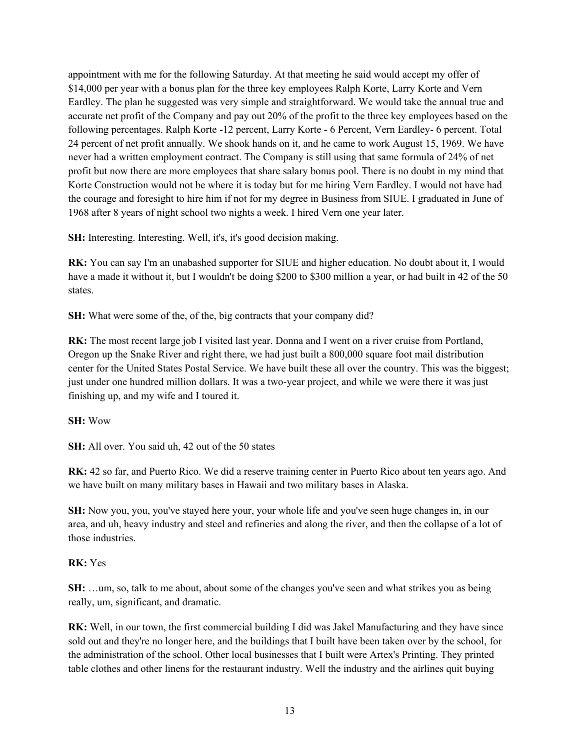appointment with me for the following Saturday. At that meeting he said would accept my offer of \$14,000 per year with a bonus plan for the three key employees Ralph Korte, Larry Korte and Vern Eardley. The plan he suggested was very simple and straightforward. We would take the annual true and accurate net profit of the Company and pay out 20% of the profit to the three key employees based on the following percentages. Ralph Korte -12 percent, Larry Korte - 6 Percent, Vern Eardley- 6 percent. Total 24 percent of net profit annually. We shook hands on it, and he came to work August 15, 1969. We have never had a written employment contract. The Company is still using that same formula of 24% of net profit but now there are more employees that share salary bonus pool. There is no doubt in my mind that Korte Construction would not be where it is today but for me hiring Vern Eardley. I would not have had the courage and foresight to hire him if not for my degree in Business from SIUE. I graduated in June of 1968 after 8 years of night school two nights a week. I hired Vern one year later.

**SH:** Interesting. Interesting. Well, it's, it's good decision making.

**RK:** You can say I'm an unabashed supporter for SIUE and higher education. No doubt about it, I would have a made it without it, but I wouldn't be doing \$200 to \$300 million a year, or had built in 42 of the 50 states.

**SH:** What were some of the, of the, big contracts that your company did?

**RK:** The most recent large job I visited last year. Donna and I went on a river cruise from Portland, Oregon up the Snake River and right there, we had just built a 800,000 square foot mail distribution center for the United States Postal Service. We have built these all over the country. This was the biggest; just under one hundred million dollars. It was a two-year project, and while we were there it was just finishing up, and my wife and I toured it.

## **SH:** Wow

**SH:** All over. You said uh, 42 out of the 50 states

**RK:** 42 so far, and Puerto Rico. We did a reserve training center in Puerto Rico about ten years ago. And we have built on many military bases in Hawaii and two military bases in Alaska.

**SH:** Now you, you, you've stayed here your, your whole life and you've seen huge changes in, in our area, and uh, heavy industry and steel and refineries and along the river, and then the collapse of a lot of those industries.

# **RK:** Yes

**SH:** …um, so, talk to me about, about some of the changes you've seen and what strikes you as being really, um, significant, and dramatic.

**RK:** Well, in our town, the first commercial building I did was Jakel Manufacturing and they have since sold out and they're no longer here, and the buildings that I built have been taken over by the school, for the administration of the school. Other local businesses that I built were Artex's Printing. They printed table clothes and other linens for the restaurant industry. Well the industry and the airlines quit buying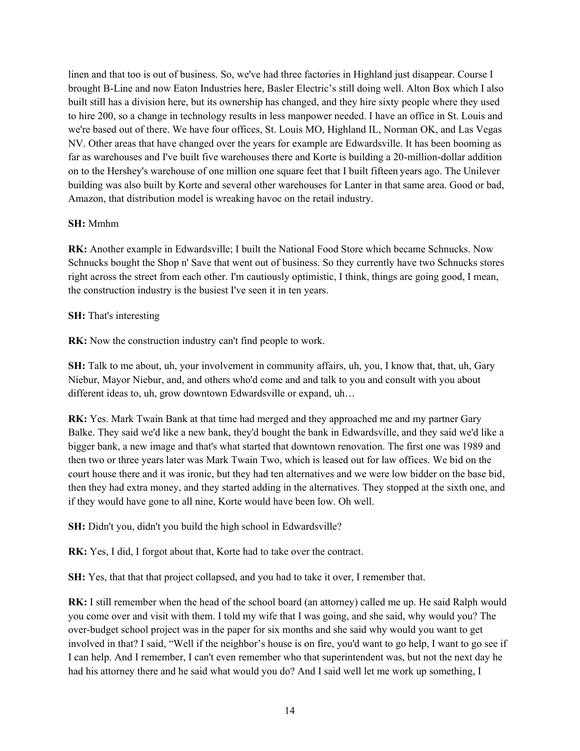linen and that too is out of business. So, we've had three factories in Highland just disappear. Course I brought B-Line and now Eaton Industries here, Basler Electric's still doing well. Alton Box which I also built still has a division here, but its ownership has changed, and they hire sixty people where they used to hire 200, so a change in technology results in less manpower needed. I have an office in St. Louis and we're based out of there. We have four offices, St. Louis MO, Highland IL, Norman OK, and Las Vegas NV. Other areas that have changed over the years for example are Edwardsville. It has been booming as far as warehouses and I've built five warehouses there and Korte is building a 20-million-dollar addition on to the Hershey's warehouse of one million one square feet that I built fifteen years ago. The Unilever building was also built by Korte and several other warehouses for Lanter in that same area. Good or bad, Amazon, that distribution model is wreaking havoc on the retail industry.

## **SH:** Mmhm

**RK:** Another example in Edwardsville; I built the National Food Store which became Schnucks. Now Schnucks bought the Shop n' Save that went out of business. So they currently have two Schnucks stores right across the street from each other. I'm cautiously optimistic, I think, things are going good, I mean, the construction industry is the busiest I've seen it in ten years.

## **SH:** That's interesting

**RK:** Now the construction industry can't find people to work.

**SH:** Talk to me about, uh, your involvement in community affairs, uh, you, I know that, that, uh, Gary Niebur, Mayor Niebur, and, and others who'd come and and talk to you and consult with you about different ideas to, uh, grow downtown Edwardsville or expand, uh…

**RK:** Yes. Mark Twain Bank at that time had merged and they approached me and my partner Gary Balke. They said we'd like a new bank, they'd bought the bank in Edwardsville, and they said we'd like a bigger bank, a new image and that's what started that downtown renovation. The first one was 1989 and then two or three years later was Mark Twain Two, which is leased out for law offices. We bid on the court house there and it was ironic, but they had ten alternatives and we were low bidder on the base bid, then they had extra money, and they started adding in the alternatives. They stopped at the sixth one, and if they would have gone to all nine, Korte would have been low. Oh well.

**SH:** Didn't you, didn't you build the high school in Edwardsville?

**RK:** Yes, I did, I forgot about that, Korte had to take over the contract.

**SH:** Yes, that that that project collapsed, and you had to take it over, I remember that.

**RK:** I still remember when the head of the school board (an attorney) called me up. He said Ralph would you come over and visit with them. I told my wife that I was going, and she said, why would you? The over-budget school project was in the paper for six months and she said why would you want to get involved in that? I said, "Well if the neighbor's house is on fire, you'd want to go help, I want to go see if I can help. And I remember, I can't even remember who that superintendent was, but not the next day he had his attorney there and he said what would you do? And I said well let me work up something, I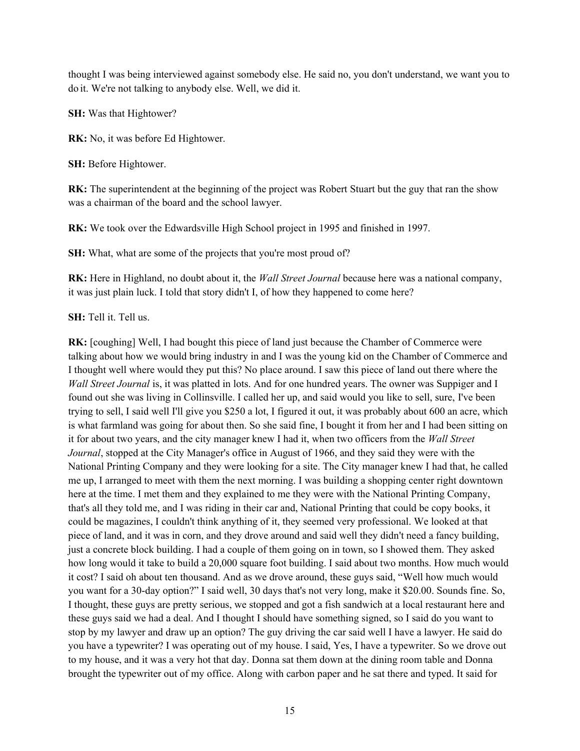thought I was being interviewed against somebody else. He said no, you don't understand, we want you to do it. We're not talking to anybody else. Well, we did it.

**SH:** Was that Hightower?

**RK:** No, it was before Ed Hightower.

**SH:** Before Hightower.

**RK:** The superintendent at the beginning of the project was Robert Stuart but the guy that ran the show was a chairman of the board and the school lawyer.

**RK:** We took over the Edwardsville High School project in 1995 and finished in 1997.

**SH:** What, what are some of the projects that you're most proud of?

**RK:** Here in Highland, no doubt about it, the *Wall Street Journal* because here was a national company, it was just plain luck. I told that story didn't I, of how they happened to come here?

**SH:** Tell it. Tell us.

**RK:** [coughing] Well, I had bought this piece of land just because the Chamber of Commerce were talking about how we would bring industry in and I was the young kid on the Chamber of Commerce and I thought well where would they put this? No place around. I saw this piece of land out there where the *Wall Street Journal* is, it was platted in lots. And for one hundred years. The owner was Suppiger and I found out she was living in Collinsville. I called her up, and said would you like to sell, sure, I've been trying to sell, I said well I'll give you \$250 a lot, I figured it out, it was probably about 600 an acre, which is what farmland was going for about then. So she said fine, I bought it from her and I had been sitting on it for about two years, and the city manager knew I had it, when two officers from the *Wall Street Journal*, stopped at the City Manager's office in August of 1966, and they said they were with the National Printing Company and they were looking for a site. The City manager knew I had that, he called me up, I arranged to meet with them the next morning. I was building a shopping center right downtown here at the time. I met them and they explained to me they were with the National Printing Company, that's all they told me, and I was riding in their car and, National Printing that could be copy books, it could be magazines, I couldn't think anything of it, they seemed very professional. We looked at that piece of land, and it was in corn, and they drove around and said well they didn't need a fancy building, just a concrete block building. I had a couple of them going on in town, so I showed them. They asked how long would it take to build a 20,000 square foot building. I said about two months. How much would it cost? I said oh about ten thousand. And as we drove around, these guys said, "Well how much would you want for a 30-day option?" I said well, 30 days that's not very long, make it \$20.00. Sounds fine. So, I thought, these guys are pretty serious, we stopped and got a fish sandwich at a local restaurant here and these guys said we had a deal. And I thought I should have something signed, so I said do you want to stop by my lawyer and draw up an option? The guy driving the car said well I have a lawyer. He said do you have a typewriter? I was operating out of my house. I said, Yes, I have a typewriter. So we drove out to my house, and it was a very hot that day. Donna sat them down at the dining room table and Donna brought the typewriter out of my office. Along with carbon paper and he sat there and typed. It said for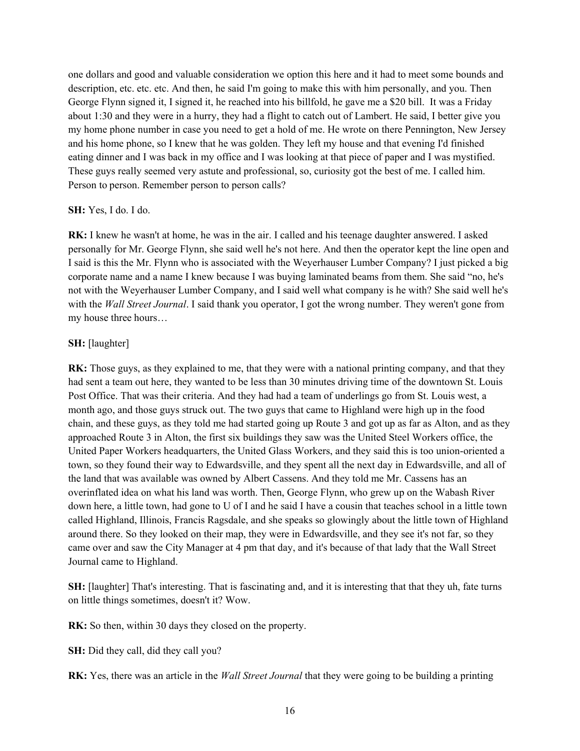one dollars and good and valuable consideration we option this here and it had to meet some bounds and description, etc. etc. etc. And then, he said I'm going to make this with him personally, and you. Then George Flynn signed it, I signed it, he reached into his billfold, he gave me a \$20 bill. It was a Friday about 1:30 and they were in a hurry, they had a flight to catch out of Lambert. He said, I better give you my home phone number in case you need to get a hold of me. He wrote on there Pennington, New Jersey and his home phone, so I knew that he was golden. They left my house and that evening I'd finished eating dinner and I was back in my office and I was looking at that piece of paper and I was mystified. These guys really seemed very astute and professional, so, curiosity got the best of me. I called him. Person to person. Remember person to person calls?

#### **SH:** Yes, I do. I do.

**RK:** I knew he wasn't at home, he was in the air. I called and his teenage daughter answered. I asked personally for Mr. George Flynn, she said well he's not here. And then the operator kept the line open and I said is this the Mr. Flynn who is associated with the Weyerhauser Lumber Company? I just picked a big corporate name and a name I knew because I was buying laminated beams from them. She said "no, he's not with the Weyerhauser Lumber Company, and I said well what company is he with? She said well he's with the *Wall Street Journal*. I said thank you operator, I got the wrong number. They weren't gone from my house three hours…

## **SH:** [laughter]

**RK:** Those guys, as they explained to me, that they were with a national printing company, and that they had sent a team out here, they wanted to be less than 30 minutes driving time of the downtown St. Louis Post Office. That was their criteria. And they had had a team of underlings go from St. Louis west, a month ago, and those guys struck out. The two guys that came to Highland were high up in the food chain, and these guys, as they told me had started going up Route 3 and got up as far as Alton, and as they approached Route 3 in Alton, the first six buildings they saw was the United Steel Workers office, the United Paper Workers headquarters, the United Glass Workers, and they said this is too union-oriented a town, so they found their way to Edwardsville, and they spent all the next day in Edwardsville, and all of the land that was available was owned by Albert Cassens. And they told me Mr. Cassens has an overinflated idea on what his land was worth. Then, George Flynn, who grew up on the Wabash River down here, a little town, had gone to U of I and he said I have a cousin that teaches school in a little town called Highland, Illinois, Francis Ragsdale, and she speaks so glowingly about the little town of Highland around there. So they looked on their map, they were in Edwardsville, and they see it's not far, so they came over and saw the City Manager at 4 pm that day, and it's because of that lady that the Wall Street Journal came to Highland.

**SH:** [laughter] That's interesting. That is fascinating and, and it is interesting that that they uh, fate turns on little things sometimes, doesn't it? Wow.

**RK:** So then, within 30 days they closed on the property.

**SH:** Did they call, did they call you?

**RK:** Yes, there was an article in the *Wall Street Journal* that they were going to be building a printing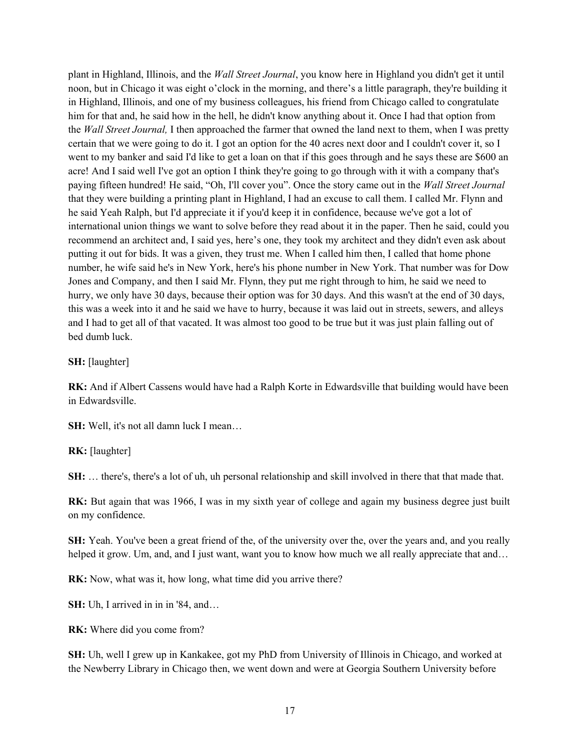plant in Highland, Illinois, and the *Wall Street Journal*, you know here in Highland you didn't get it until noon, but in Chicago it was eight o'clock in the morning, and there's a little paragraph, they're building it in Highland, Illinois, and one of my business colleagues, his friend from Chicago called to congratulate him for that and, he said how in the hell, he didn't know anything about it. Once I had that option from the *Wall Street Journal,* I then approached the farmer that owned the land next to them, when I was pretty certain that we were going to do it. I got an option for the 40 acres next door and I couldn't cover it, so I went to my banker and said I'd like to get a loan on that if this goes through and he says these are \$600 an acre! And I said well I've got an option I think they're going to go through with it with a company that's paying fifteen hundred! He said, "Oh, I'll cover you". Once the story came out in the *Wall Street Journal*  that they were building a printing plant in Highland, I had an excuse to call them. I called Mr. Flynn and he said Yeah Ralph, but I'd appreciate it if you'd keep it in confidence, because we've got a lot of international union things we want to solve before they read about it in the paper. Then he said, could you recommend an architect and, I said yes, here's one, they took my architect and they didn't even ask about putting it out for bids. It was a given, they trust me. When I called him then, I called that home phone number, he wife said he's in New York, here's his phone number in New York. That number was for Dow Jones and Company, and then I said Mr. Flynn, they put me right through to him, he said we need to hurry, we only have 30 days, because their option was for 30 days. And this wasn't at the end of 30 days, this was a week into it and he said we have to hurry, because it was laid out in streets, sewers, and alleys and I had to get all of that vacated. It was almost too good to be true but it was just plain falling out of bed dumb luck.

**SH:** [laughter]

**RK:** And if Albert Cassens would have had a Ralph Korte in Edwardsville that building would have been in Edwardsville.

**SH:** Well, it's not all damn luck I mean…

**RK:** [laughter]

**SH:** ... there's, there's a lot of uh, uh personal relationship and skill involved in there that that made that.

**RK:** But again that was 1966, I was in my sixth year of college and again my business degree just built on my confidence.

**SH:** Yeah. You've been a great friend of the, of the university over the, over the years and, and you really helped it grow. Um, and, and I just want, want you to know how much we all really appreciate that and...

RK: Now, what was it, how long, what time did you arrive there?

**SH:** Uh, I arrived in in in '84, and…

**RK:** Where did you come from?

**SH:** Uh, well I grew up in Kankakee, got my PhD from University of Illinois in Chicago, and worked at the Newberry Library in Chicago then, we went down and were at Georgia Southern University before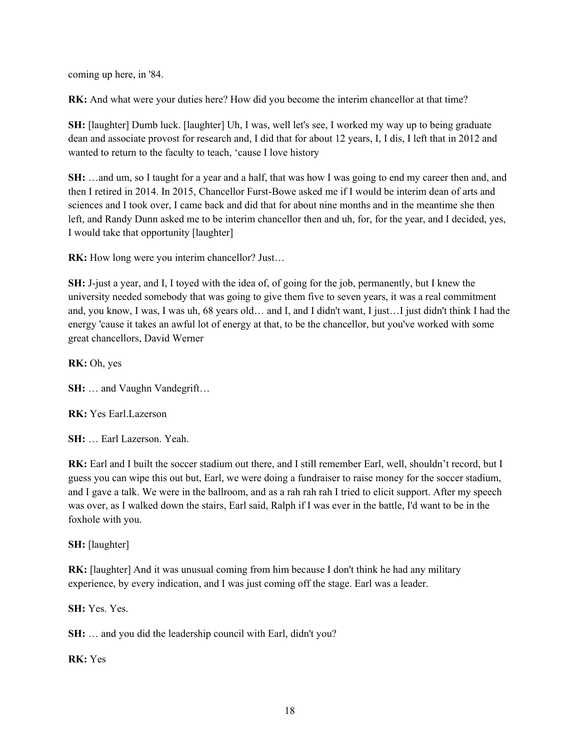coming up here, in '84.

**RK:** And what were your duties here? How did you become the interim chancellor at that time?

**SH:** [laughter] Dumb luck. [laughter] Uh, I was, well let's see, I worked my way up to being graduate dean and associate provost for research and, I did that for about 12 years, I, I dis, I left that in 2012 and wanted to return to the faculty to teach, 'cause I love history

**SH:** …and um, so I taught for a year and a half, that was how I was going to end my career then and, and then I retired in 2014. In 2015, Chancellor Furst-Bowe asked me if I would be interim dean of arts and sciences and I took over, I came back and did that for about nine months and in the meantime she then left, and Randy Dunn asked me to be interim chancellor then and uh, for, for the year, and I decided, yes, I would take that opportunity [laughter]

**RK:** How long were you interim chancellor? Just...

**SH:** J-just a year, and I, I toyed with the idea of, of going for the job, permanently, but I knew the university needed somebody that was going to give them five to seven years, it was a real commitment and, you know, I was, I was uh, 68 years old… and I, and I didn't want, I just…I just didn't think I had the energy 'cause it takes an awful lot of energy at that, to be the chancellor, but you've worked with some great chancellors, David Werner

**RK:** Oh, yes

**SH:** … and Vaughn Vandegrift…

**RK:** Yes Earl.Lazerson

**SH:** … Earl Lazerson. Yeah.

RK: Earl and I built the soccer stadium out there, and I still remember Earl, well, shouldn't record, but I guess you can wipe this out but, Earl, we were doing a fundraiser to raise money for the soccer stadium, and I gave a talk. We were in the ballroom, and as a rah rah rah I tried to elicit support. After my speech was over, as I walked down the stairs, Earl said, Ralph if I was ever in the battle, I'd want to be in the foxhole with you.

**SH:** [laughter]

**RK:** [laughter] And it was unusual coming from him because I don't think he had any military experience, by every indication, and I was just coming off the stage. Earl was a leader.

**SH:** Yes. Yes.

**SH:** … and you did the leadership council with Earl, didn't you?

**RK:** Yes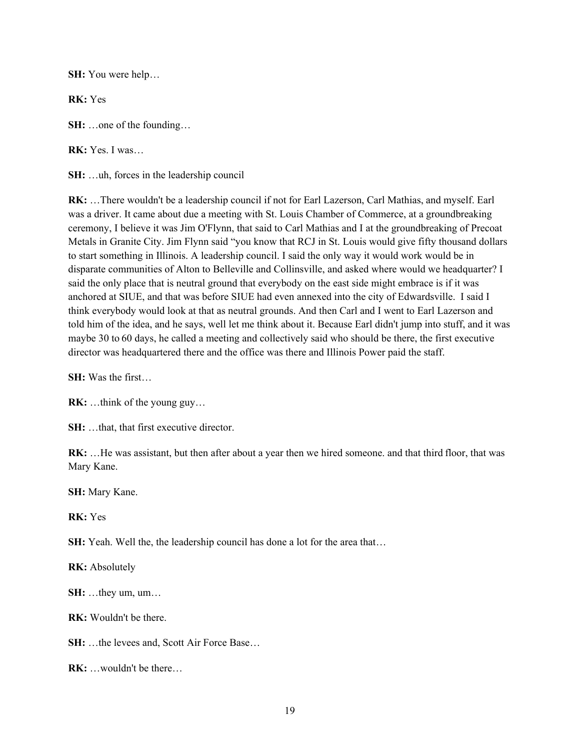**SH:** You were help…

**RK:** Yes

**SH:** …one of the founding…

**RK:** Yes. I was…

**SH:** …uh, forces in the leadership council

**RK:** …There wouldn't be a leadership council if not for Earl Lazerson, Carl Mathias, and myself. Earl was a driver. It came about due a meeting with St. Louis Chamber of Commerce, at a groundbreaking ceremony, I believe it was Jim O'Flynn, that said to Carl Mathias and I at the groundbreaking of Precoat Metals in Granite City. Jim Flynn said "you know that RCJ in St. Louis would give fifty thousand dollars to start something in Illinois. A leadership council. I said the only way it would work would be in disparate communities of Alton to Belleville and Collinsville, and asked where would we headquarter? I said the only place that is neutral ground that everybody on the east side might embrace is if it was anchored at SIUE, and that was before SIUE had even annexed into the city of Edwardsville. I said I think everybody would look at that as neutral grounds. And then Carl and I went to Earl Lazerson and told him of the idea, and he says, well let me think about it. Because Earl didn't jump into stuff, and it was maybe 30 to 60 days, he called a meeting and collectively said who should be there, the first executive director was headquartered there and the office was there and Illinois Power paid the staff.

**SH:** Was the first…

**RK:** …think of the young guy…

**SH:** …that, that first executive director.

**RK:** …He was assistant, but then after about a year then we hired someone. and that third floor, that was Mary Kane.

**SH:** Mary Kane.

**RK:** Yes

**SH:** Yeah. Well the, the leadership council has done a lot for the area that…

**RK:** Absolutely

**SH:** …they um, um…

**RK:** Wouldn't be there.

**SH:** …the levees and, Scott Air Force Base…

**RK:** …wouldn't be there…